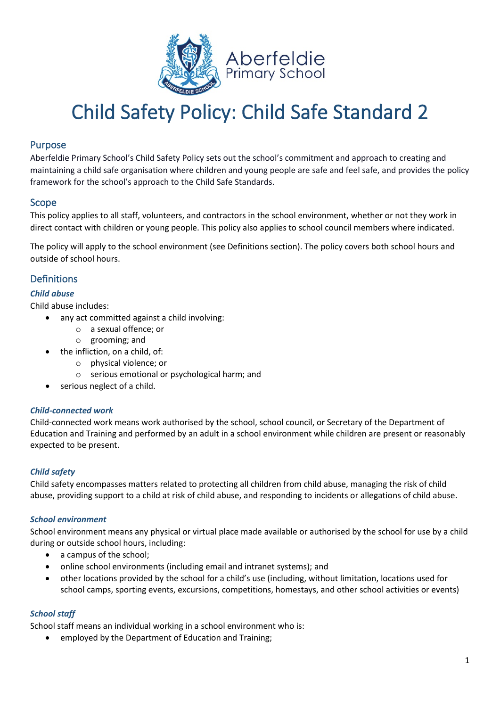

### Purpose

Aberfeldie Primary School's Child Safety Policy sets out the school's commitment and approach to creating and maintaining a child safe organisation where children and young people are safe and feel safe, and provides the policy framework for the school's approach to the Child Safe Standards.

### Scope

This policy applies to all staff, volunteers, and contractors in the school environment, whether or not they work in direct contact with children or young people. This policy also applies to school council members where indicated.

The policy will apply to the school environment (see Definitions section). The policy covers both school hours and outside of school hours.

### **Definitions**

#### *Child abuse*

Child abuse includes:

- any act committed against a child involving:
	- o a sexual offence; or
	- o grooming; and
- the infliction, on a child, of:
	- o physical violence; or
	- o serious emotional or psychological harm; and
- serious neglect of a child.

#### *Child-connected work*

Child-connected work means work authorised by the school, school council, or Secretary of the Department of Education and Training and performed by an adult in a school environment while children are present or reasonably expected to be present.

#### *Child safety*

Child safety encompasses matters related to protecting all children from child abuse, managing the risk of child abuse, providing support to a child at risk of child abuse, and responding to incidents or allegations of child abuse.

#### *School environment*

School environment means any physical or virtual place made available or authorised by the school for use by a child during or outside school hours, including:

- a campus of the school;
- online school environments (including email and intranet systems); and
- other locations provided by the school for a child's use (including, without limitation, locations used for school camps, sporting events, excursions, competitions, homestays, and other school activities or events)

#### *School staff*

School staff means an individual working in a school environment who is:

• employed by the Department of Education and Training;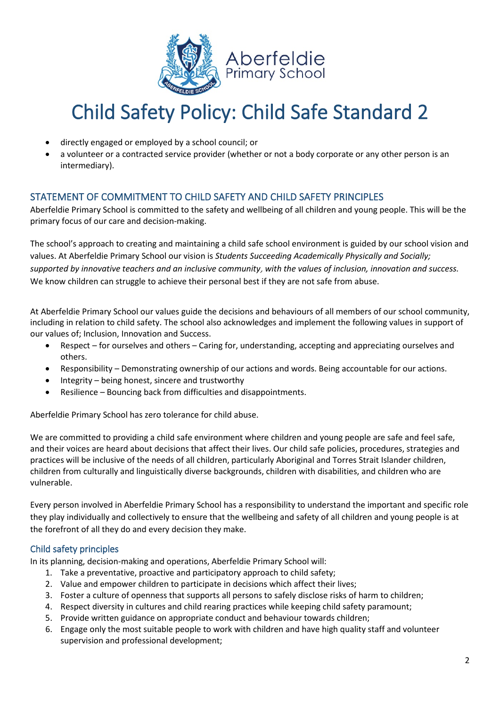

- directly engaged or employed by a school council; or
- a volunteer or a contracted service provider (whether or not a body corporate or any other person is an intermediary).

## STATEMENT OF COMMITMENT TO CHILD SAFETY AND CHILD SAFETY PRINCIPLES

Aberfeldie Primary School is committed to the safety and wellbeing of all children and young people. This will be the primary focus of our care and decision-making.

The school's approach to creating and maintaining a child safe school environment is guided by our school vision and values. At Aberfeldie Primary School our vision is *Students Succeeding Academically Physically and Socially; supported by innovative teachers and an inclusive community*, *with the values of inclusion, innovation and success.* We know children can struggle to achieve their personal best if they are not safe from abuse.

At Aberfeldie Primary School our values guide the decisions and behaviours of all members of our school community, including in relation to child safety. The school also acknowledges and implement the following values in support of our values of; Inclusion, Innovation and Success.

- Respect for ourselves and others Caring for, understanding, accepting and appreciating ourselves and others.
- Responsibility Demonstrating ownership of our actions and words. Being accountable for our actions.
- Integrity being honest, sincere and trustworthy
- Resilience Bouncing back from difficulties and disappointments.

Aberfeldie Primary School has zero tolerance for child abuse.

We are committed to providing a child safe environment where children and young people are safe and feel safe, and their voices are heard about decisions that affect their lives. Our child safe policies, procedures, strategies and practices will be inclusive of the needs of all children, particularly Aboriginal and Torres Strait Islander children, children from culturally and linguistically diverse backgrounds, children with disabilities, and children who are vulnerable.

Every person involved in Aberfeldie Primary School has a responsibility to understand the important and specific role they play individually and collectively to ensure that the wellbeing and safety of all children and young people is at the forefront of all they do and every decision they make.

### Child safety principles

In its planning, decision-making and operations, Aberfeldie Primary School will:

- 1. Take a preventative, proactive and participatory approach to child safety;
- 2. Value and empower children to participate in decisions which affect their lives;
- 3. Foster a culture of openness that supports all persons to safely disclose risks of harm to children;
- 4. Respect diversity in cultures and child rearing practices while keeping child safety paramount;
- 5. Provide written guidance on appropriate conduct and behaviour towards children;
- 6. Engage only the most suitable people to work with children and have high quality staff and volunteer supervision and professional development;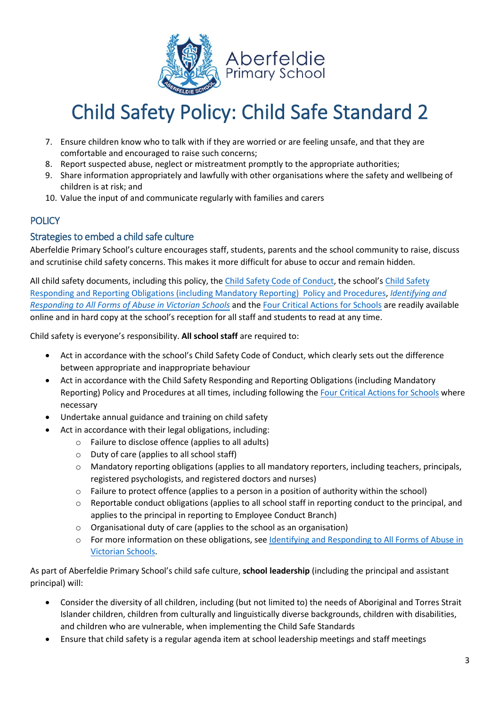

- 7. Ensure children know who to talk with if they are worried or are feeling unsafe, and that they are comfortable and encouraged to raise such concerns;
- 8. Report suspected abuse, neglect or mistreatment promptly to the appropriate authorities;
- 9. Share information appropriately and lawfully with other organisations where the safety and wellbeing of children is at risk; and
- 10. Value the input of and communicate regularly with families and carers

## **POLICY**

### Strategies to embed a child safe culture

Aberfeldie Primary School's culture encourages staff, students, parents and the school community to raise, discuss and scrutinise child safety concerns. This makes it more difficult for abuse to occur and remain hidden.

All child safety documents, including this policy, the Child Safety Code of Conduct, the school's Child Safety Responding and Reporting Obligations (including Mandatory Reporting) Policy and Procedures, *[Identifying and](https://www.education.vic.gov.au/Documents/about/programs/health/protect/ChildSafeStandard5_SchoolsGuide.pdf)  [Responding to All Forms of](https://www.education.vic.gov.au/Documents/about/programs/health/protect/ChildSafeStandard5_SchoolsGuide.pdf) Abuse in Victorian Schools* and the [Four Critical Actions for Schools](https://www.education.vic.gov.au/Documents/about/programs/health/protect/FourCriticalActions_ChildAbuse.pdf) are readily available online and in hard copy at the school's reception for all staff and students to read at any time.

Child safety is everyone's responsibility. **All school staff** are required to:

- Act in accordance with the school's Child Safety Code of Conduct, which clearly sets out the difference between appropriate and inappropriate behaviour
- Act in accordance with the Child Safety Responding and Reporting Obligations (including Mandatory Reporting) Policy and Procedures at all times, including following th[e Four Critical Actions for Schools](https://www.education.vic.gov.au/Documents/about/programs/health/protect/FourCriticalActions_ChildAbuse.pdf) where necessary
- Undertake annual guidance and training on child safety
- Act in accordance with their legal obligations, including:
	- o Failure to disclose offence (applies to all adults)
	- o Duty of care (applies to all school staff)
	- o Mandatory reporting obligations (applies to all mandatory reporters, including teachers, principals, registered psychologists, and registered doctors and nurses)
	- o Failure to protect offence (applies to a person in a position of authority within the school)
	- $\circ$  Reportable conduct obligations (applies to all school staff in reporting conduct to the principal, and applies to the principal in reporting to Employee Conduct Branch)
	- o Organisational duty of care (applies to the school as an organisation)
	- o For more information on these obligations, see [Identifying and Responding to All Forms of Abuse in](https://www.education.vic.gov.au/Documents/about/programs/health/protect/ChildSafeStandard5_SchoolsGuide.pdf) [Victorian Schools.](https://www.education.vic.gov.au/Documents/about/programs/health/protect/ChildSafeStandard5_SchoolsGuide.pdf)

As part of Aberfeldie Primary School's child safe culture, **school leadership** (including the principal and assistant principal) will:

- Consider the diversity of all children, including (but not limited to) the needs of Aboriginal and Torres Strait Islander children, children from culturally and linguistically diverse backgrounds, children with disabilities, and children who are vulnerable, when implementing the Child Safe Standards
- Ensure that child safety is a regular agenda item at school leadership meetings and staff meetings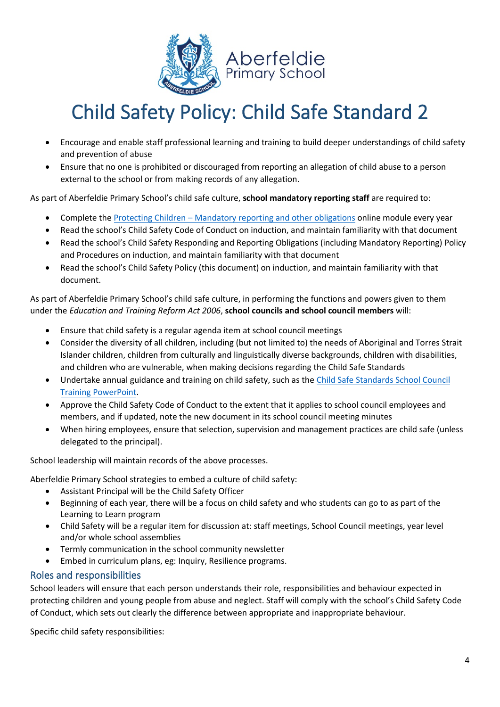

- Encourage and enable staff professional learning and training to build deeper understandings of child safety and prevention of abuse
- Ensure that no one is prohibited or discouraged from reporting an allegation of child abuse to a person external to the school or from making records of any allegation.

As part of Aberfeldie Primary School's child safe culture, **school mandatory reporting staff** are required to:

- Complete the Protecting Children  [Mandatory reporting and other obligations](http://elearn.com.au/det/protectingchildren/) online module every year
- Read the school's Child Safety Code of Conduct on induction, and maintain familiarity with that document
- Read the school's Child Safety Responding and Reporting Obligations (including Mandatory Reporting) Policy and Procedures on induction, and maintain familiarity with that document
- Read the school's Child Safety Policy (this document) on induction, and maintain familiarity with that document.

As part of Aberfeldie Primary School's child safe culture, in performing the functions and powers given to them under the *Education and Training Reform Act 2006*, **school councils and school council members** will:

- Ensure that child safety is a regular agenda item at school council meetings
- Consider the diversity of all children, including (but not limited to) the needs of Aboriginal and Torres Strait Islander children, children from culturally and linguistically diverse backgrounds, children with disabilities, and children who are vulnerable, when making decisions regarding the Child Safe Standards
- Undertake annual guidance and training on child safety, such as th[e Child Safe Standards School Council](https://www.education.vic.gov.au/Documents/about/programs/health/protect/school-council-training.pptx) Training [PowerPoint.](https://www.education.vic.gov.au/Documents/about/programs/health/protect/school-council-training.pptx)
- Approve the Child Safety Code of Conduct to the extent that it applies to school council employees and members, and if updated, note the new document in its school council meeting minutes
- When hiring employees, ensure that selection, supervision and management practices are child safe (unless delegated to the principal).

School leadership will maintain records of the above processes.

Aberfeldie Primary School strategies to embed a culture of child safety:

- Assistant Principal will be the Child Safety Officer
- Beginning of each year, there will be a focus on child safety and who students can go to as part of the Learning to Learn program
- Child Safety will be a regular item for discussion at: staff meetings, School Council meetings, year level and/or whole school assemblies
- Termly communication in the school community newsletter
- Embed in curriculum plans, eg: Inquiry, Resilience programs.

### Roles and responsibilities

School leaders will ensure that each person understands their role, responsibilities and behaviour expected in protecting children and young people from abuse and neglect. Staff will comply with the school's Child Safety Code of Conduct, which sets out clearly the difference between appropriate and inappropriate behaviour.

Specific child safety responsibilities: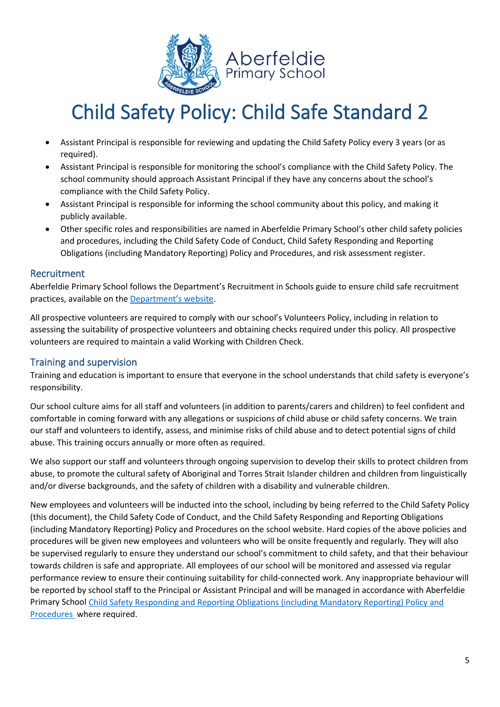

- Assistant Principal is responsible for reviewing and updating the Child Safety Policy every 3 years (or as required).
- Assistant Principal is responsible for monitoring the school's compliance with the Child Safety Policy. The school community should approach Assistant Principal if they have any concerns about the school's compliance with the Child Safety Policy.
- Assistant Principal is responsible for informing the school community about this policy, and making it publicly available.
- Other specific roles and responsibilities are named in Aberfeldie Primary School's other child safety policies and procedures, including the Child Safety Code of Conduct, Child Safety Responding and Reporting Obligations (including Mandatory Reporting) Policy and Procedures, and risk assessment register.

### Recruitment

Aberfeldie Primary School follows the Department's Recruitment in Schools guide to ensure child safe recruitment practices, available on the [Department's website.](https://www.education.vic.gov.au/hrweb/careers/Pages/recruitinsch.aspx)

All prospective volunteers are required to comply with our school's Volunteers Policy, including in relation to assessing the suitability of prospective volunteers and obtaining checks required under this policy. All prospective volunteers are required to maintain a valid Working with Children Check.

## Training and supervision

Training and education is important to ensure that everyone in the school understands that child safety is everyone's responsibility.

Our school culture aims for all staff and volunteers (in addition to parents/carers and children) to feel confident and comfortable in coming forward with any allegations or suspicions of child abuse or child safety concerns. We train our staff and volunteers to identify, assess, and minimise risks of child abuse and to detect potential signs of child abuse. This training occurs annually or more often as required.

We also support our staff and volunteers through ongoing supervision to develop their skills to protect children from abuse, to promote the cultural safety of Aboriginal and Torres Strait Islander children and children from linguistically and/or diverse backgrounds, and the safety of children with a disability and vulnerable children.

New employees and volunteers will be inducted into the school, including by being referred to the Child Safety Policy (this document), the Child Safety Code of Conduct, and the Child Safety Responding and Reporting Obligations (including Mandatory Reporting) Policy and Procedures on the school website. Hard copies of the above policies and procedures will be given new employees and volunteers who will be onsite frequently and regularly. They will also be supervised regularly to ensure they understand our school's commitment to child safety, and that their behaviour towards children is safe and appropriate. All employees of our school will be monitored and assessed via regular performance review to ensure their continuing suitability for child-connected work. Any inappropriate behaviour will be reported by school staff to the Principal or Assistant Principal and will be managed in accordance with Aberfeldie Primary School Child Safety Responding and Reporting Obligations (including Mandatory Reporting) Policy and Procedures where required.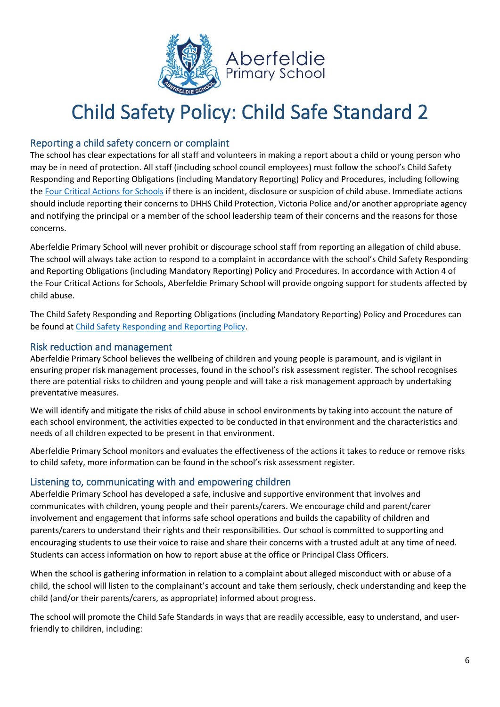

## Reporting a child safety concern or complaint

The school has clear expectations for all staff and volunteers in making a report about a child or young person who may be in need of protection. All staff (including school council employees) must follow the school's Child Safety Responding and Reporting Obligations (including Mandatory Reporting) Policy and Procedures, including following the [Four Critical Actions for Schools](https://www.education.vic.gov.au/Documents/about/programs/health/protect/FourCriticalActions_ChildAbuse.pdf) if there is an incident, disclosure or suspicion of child abuse. Immediate actions should include reporting their concerns to DHHS Child Protection, Victoria Police and/or another appropriate agency and notifying the principal or a member of the school leadership team of their concerns and the reasons for those concerns.

Aberfeldie Primary School will never prohibit or discourage school staff from reporting an allegation of child abuse. The school will always take action to respond to a complaint in accordance with the school's Child Safety Responding and Reporting Obligations (including Mandatory Reporting) Policy and Procedures. In accordance with Action 4 of the Four Critical Actions for Schools, Aberfeldie Primary School will provide ongoing support for students affected by child abuse.

The Child Safety Responding and Reporting Obligations (including Mandatory Reporting) Policy and Procedures can be found at Child Safety Responding and Reporting Policy.

## Risk reduction and management

Aberfeldie Primary School believes the wellbeing of children and young people is paramount, and is vigilant in ensuring proper risk management processes, found in the school's risk assessment register. The school recognises there are potential risks to children and young people and will take a risk management approach by undertaking preventative measures.

We will identify and mitigate the risks of child abuse in school environments by taking into account the nature of each school environment, the activities expected to be conducted in that environment and the characteristics and needs of all children expected to be present in that environment.

Aberfeldie Primary School monitors and evaluates the effectiveness of the actions it takes to reduce or remove risks to child safety, more information can be found in the school's risk assessment register.

## Listening to, communicating with and empowering children

Aberfeldie Primary School has developed a safe, inclusive and supportive environment that involves and communicates with children, young people and their parents/carers. We encourage child and parent/carer involvement and engagement that informs safe school operations and builds the capability of children and parents/carers to understand their rights and their responsibilities. Our school is committed to supporting and encouraging students to use their voice to raise and share their concerns with a trusted adult at any time of need. Students can access information on how to report abuse at the office or Principal Class Officers.

When the school is gathering information in relation to a complaint about alleged misconduct with or abuse of a child, the school will listen to the complainant's account and take them seriously, check understanding and keep the child (and/or their parents/carers, as appropriate) informed about progress.

The school will promote the Child Safe Standards in ways that are readily accessible, easy to understand, and userfriendly to children, including: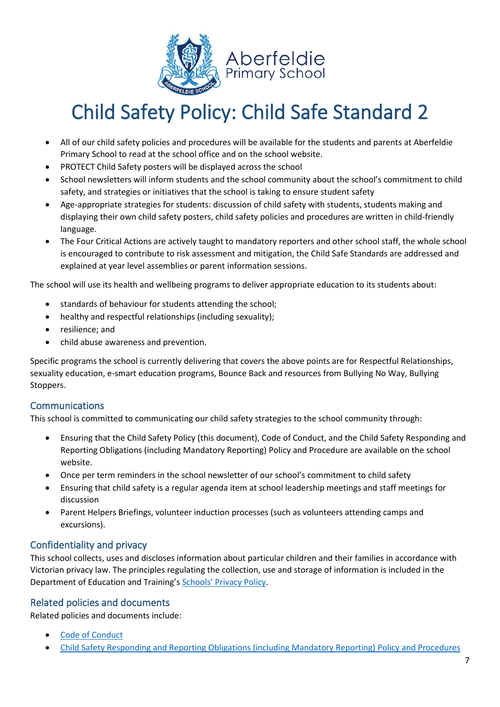

- All of our child safety policies and procedures will be available for the students and parents at Aberfeldie Primary School to read at the school office and on the school website.
- PROTECT Child Safety posters will be displayed across the school
- School newsletters will inform students and the school community about the school's commitment to child safety, and strategies or initiatives that the school is taking to ensure student safety
- Age-appropriate strategies for students: discussion of child safety with students, students making and displaying their own child safety posters, child safety policies and procedures are written in child-friendly language.
- The Four Critical Actions are actively taught to mandatory reporters and other school staff, the whole school is encouraged to contribute to risk assessment and mitigation, the Child Safe Standards are addressed and explained at year level assemblies or parent information sessions.

The school will use its health and wellbeing programs to deliver appropriate education to its students about:

- standards of behaviour for students attending the school;
- healthy and respectful relationships (including sexuality);
- resilience; and
- child abuse awareness and prevention.

Specific programs the school is currently delivering that covers the above points are for Respectful Relationships, sexuality education, e-smart education programs, Bounce Back and resources from Bullying No Way, Bullying Stoppers.

## Communications

This school is committed to communicating our child safety strategies to the school community through:

- Ensuring that the Child Safety Policy (this document), Code of Conduct, and the Child Safety Responding and Reporting Obligations (including Mandatory Reporting) Policy and Procedure are available on the school website.
- Once per term reminders in the school newsletter of our school's commitment to child safety
- Ensuring that child safety is a regular agenda item at school leadership meetings and staff meetings for discussion
- Parent Helpers Briefings, volunteer induction processes (such as volunteers attending camps and excursions).

## Confidentiality and privacy

This school collects, uses and discloses information about particular children and their families in accordance with Victorian privacy law. The principles regulating the collection, use and storage of information is included in the Department of Education and Training's Schools' [Privacy Policy.](https://www.education.vic.gov.au/Pages/schoolsprivacypolicy.aspx)

### Related policies and documents

Related policies and documents include:

- Code of Conduct
- Child Safety Responding and Reporting Obligations (including Mandatory Reporting) Policy and Procedures